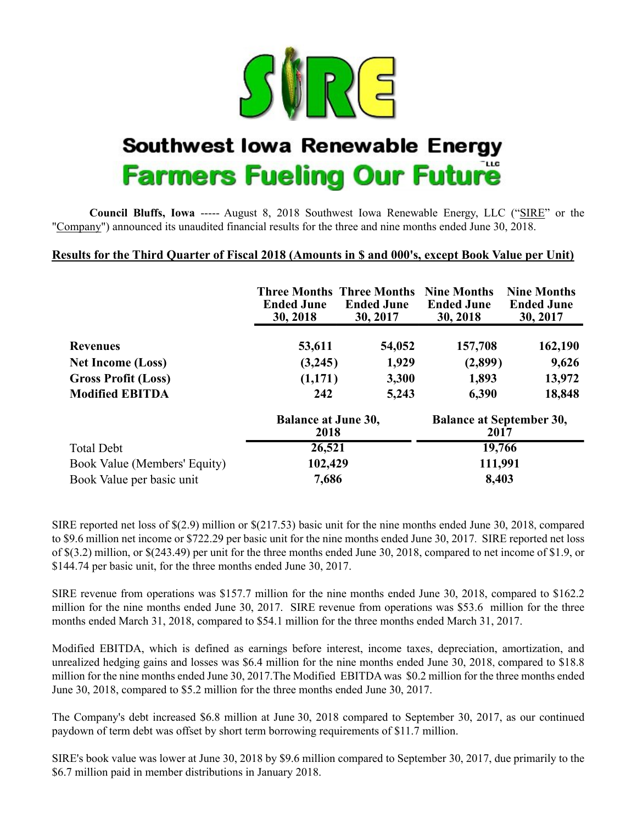

# **Southwest lowa Renewable Energy Farmers Fueling Our Future**

**Council Bluffs, Iowa** ----- August 8, 2018 Southwest Iowa Renewable Energy, LLC ("SIRE" or the "Company") announced its unaudited financial results for the three and nine months ended June 30, 2018.

### **Results for the Third Quarter of Fiscal 2018 (Amounts in \$ and 000's, except Book Value per Unit)**

|                              | <b>Three Months Three Months</b><br><b>Ended June</b><br>30, 2018 | <b>Ended June</b><br>30, 2017 | <b>Nine Months</b><br><b>Ended June</b><br>30, 2018 | <b>Nine Months</b><br><b>Ended June</b><br>30, 2017 |  |  |
|------------------------------|-------------------------------------------------------------------|-------------------------------|-----------------------------------------------------|-----------------------------------------------------|--|--|
| <b>Revenues</b>              | 53,611                                                            | 54,052                        | 157,708                                             | 162,190                                             |  |  |
| <b>Net Income (Loss)</b>     | (3,245)                                                           | 1,929                         | (2,899)                                             | 9,626                                               |  |  |
| <b>Gross Profit (Loss)</b>   | (1,171)                                                           | 3,300                         | 1,893                                               | 13,972                                              |  |  |
| <b>Modified EBITDA</b>       | 242                                                               | 5,243                         | 6,390                                               | 18,848                                              |  |  |
|                              | <b>Balance at June 30,</b><br>2018                                |                               | <b>Balance at September 30,</b><br>2017             |                                                     |  |  |
| <b>Total Debt</b>            | 26,521                                                            |                               | 19,766                                              |                                                     |  |  |
| Book Value (Members' Equity) | 102,429                                                           |                               | 111,991                                             |                                                     |  |  |
| Book Value per basic unit    | 7,686                                                             |                               | 8,403                                               |                                                     |  |  |

SIRE reported net loss of \$(2.9) million or \$(217.53) basic unit for the nine months ended June 30, 2018, compared to \$9.6 million net income or \$722.29 per basic unit for the nine months ended June 30, 2017. SIRE reported net loss of \$(3.2) million, or \$(243.49) per unit for the three months ended June 30, 2018, compared to net income of \$1.9, or \$144.74 per basic unit, for the three months ended June 30, 2017.

SIRE revenue from operations was \$157.7 million for the nine months ended June 30, 2018, compared to \$162.2 million for the nine months ended June 30, 2017. SIRE revenue from operations was \$53.6 million for the three months ended March 31, 2018, compared to \$54.1 million for the three months ended March 31, 2017.

Modified EBITDA, which is defined as earnings before interest, income taxes, depreciation, amortization, and unrealized hedging gains and losses was \$6.4 million for the nine months ended June 30, 2018, compared to \$18.8 million for the nine months ended June 30, 2017.The Modified EBITDA was \$0.2 million for the three months ended June 30, 2018, compared to \$5.2 million for the three months ended June 30, 2017.

The Company's debt increased \$6.8 million at June 30, 2018 compared to September 30, 2017, as our continued paydown of term debt was offset by short term borrowing requirements of \$11.7 million.

SIRE's book value was lower at June 30, 2018 by \$9.6 million compared to September 30, 2017, due primarily to the \$6.7 million paid in member distributions in January 2018.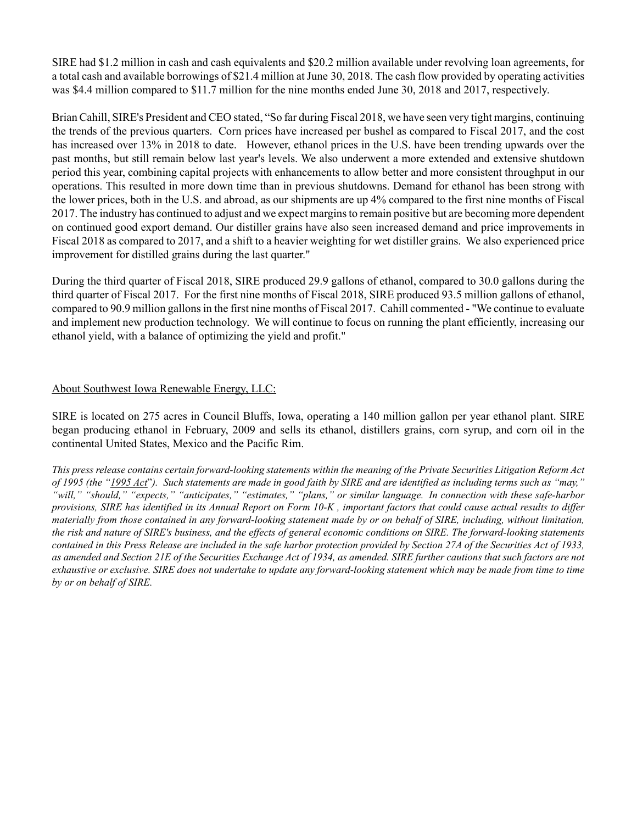SIRE had \$1.2 million in cash and cash equivalents and \$20.2 million available under revolving loan agreements, for a total cash and available borrowings of \$21.4 million at June 30, 2018. The cash flow provided by operating activities was \$4.4 million compared to \$11.7 million for the nine months ended June 30, 2018 and 2017, respectively.

Brian Cahill, SIRE's President and CEO stated, "So far during Fiscal 2018, we have seen very tight margins, continuing the trends of the previous quarters. Corn prices have increased per bushel as compared to Fiscal 2017, and the cost has increased over 13% in 2018 to date. However, ethanol prices in the U.S. have been trending upwards over the past months, but still remain below last year's levels. We also underwent a more extended and extensive shutdown period this year, combining capital projects with enhancements to allow better and more consistent throughput in our operations. This resulted in more down time than in previous shutdowns. Demand for ethanol has been strong with the lower prices, both in the U.S. and abroad, as our shipments are up 4% compared to the first nine months of Fiscal 2017. The industry has continued to adjust and we expect margins to remain positive but are becoming more dependent on continued good export demand. Our distiller grains have also seen increased demand and price improvements in Fiscal 2018 as compared to 2017, and a shift to a heavier weighting for wet distiller grains. We also experienced price improvement for distilled grains during the last quarter."

During the third quarter of Fiscal 2018, SIRE produced 29.9 gallons of ethanol, compared to 30.0 gallons during the third quarter of Fiscal 2017. For the first nine months of Fiscal 2018, SIRE produced 93.5 million gallons of ethanol, compared to 90.9 million gallons in the first nine months of Fiscal 2017. Cahill commented - "We continue to evaluate and implement new production technology. We will continue to focus on running the plant efficiently, increasing our ethanol yield, with a balance of optimizing the yield and profit."

#### About Southwest Iowa Renewable Energy, LLC:

SIRE is located on 275 acres in Council Bluffs, Iowa, operating a 140 million gallon per year ethanol plant. SIRE began producing ethanol in February, 2009 and sells its ethanol, distillers grains, corn syrup, and corn oil in the continental United States, Mexico and the Pacific Rim.

*This press release contains certain forward-looking statements within the meaning of the Private Securities Litigation Reform Act of 1995 (the "1995 Act*"*). Such statements are made in good faith by SIRE and are identified as including terms such as "may," "will," "should," "expects," "anticipates," "estimates," "plans," or similar language. In connection with these safe-harbor provisions, SIRE has identified in its Annual Report on Form 10-K , important factors that could cause actual results to differ materially from those contained in any forward-looking statement made by or on behalf of SIRE, including, without limitation, the risk and nature of SIRE's business, and the effects of general economic conditions on SIRE. The forward-looking statements contained in this Press Release are included in the safe harbor protection provided by Section 27A of the Securities Act of 1933, as amended and Section 21E of the Securities Exchange Act of 1934, as amended. SIRE further cautions that such factors are not exhaustive or exclusive. SIRE does not undertake to update any forward-looking statement which may be made from time to time by or on behalf of SIRE.*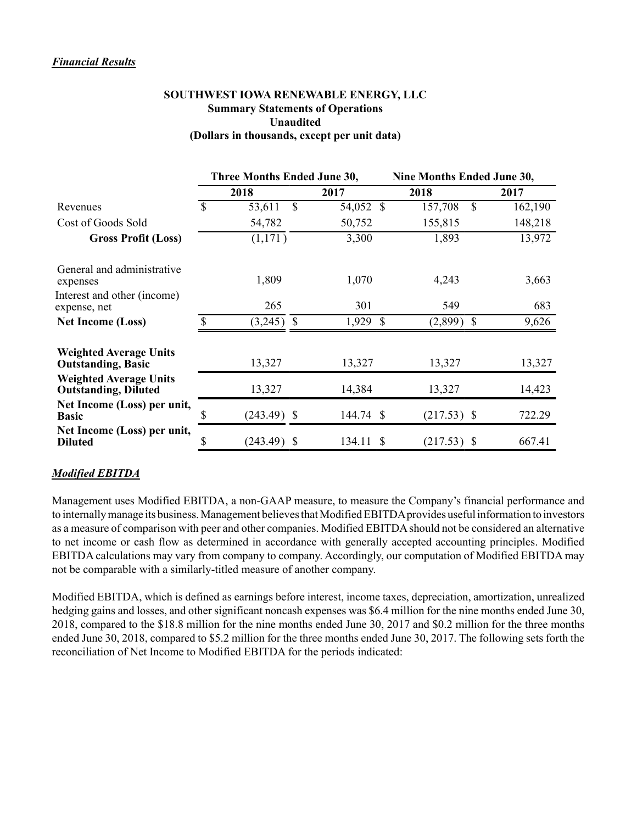#### *Financial Results*

#### **SOUTHWEST IOWA RENEWABLE ENERGY, LLC Summary Statements of Operations Unaudited (Dollars in thousands, except per unit data)**

|                                                              | Three Months Ended June 30, |               |               | Nine Months Ended June 30, |               |    |         |  |  |
|--------------------------------------------------------------|-----------------------------|---------------|---------------|----------------------------|---------------|----|---------|--|--|
|                                                              |                             | 2018          |               | 2017                       | 2018          |    | 2017    |  |  |
| Revenues                                                     | \$                          | 53,611        | S             | 54,052 \$                  | 157,708       | \$ | 162,190 |  |  |
| Cost of Goods Sold                                           |                             | 54,782        |               | 50,752                     | 155,815       |    | 148,218 |  |  |
| <b>Gross Profit (Loss)</b>                                   |                             | (1,171)       |               | 3,300                      | 1,893         |    | 13,972  |  |  |
| General and administrative<br>expenses                       |                             | 1,809         |               | 1,070                      | 4,243         |    | 3,663   |  |  |
| Interest and other (income)<br>expense, net                  |                             | 265           |               | 301                        | 549           |    | 683     |  |  |
| <b>Net Income (Loss)</b>                                     |                             | (3,245)       | $\mathcal{S}$ | 1,929 \$                   | (2,899)       | -S | 9,626   |  |  |
| <b>Weighted Average Units</b><br><b>Outstanding, Basic</b>   |                             | 13,327        |               | 13,327                     | 13,327        |    | 13,327  |  |  |
| <b>Weighted Average Units</b><br><b>Outstanding, Diluted</b> |                             | 13,327        |               | 14,384                     | 13,327        |    | 14,423  |  |  |
| Net Income (Loss) per unit,<br><b>Basic</b>                  | \$                          | $(243.49)$ \$ |               | 144.74 \$                  | $(217.53)$ \$ |    | 722.29  |  |  |
| Net Income (Loss) per unit,<br><b>Diluted</b>                | \$                          | $(243.49)$ \$ |               | 134.11 \$                  | $(217.53)$ \$ |    | 667.41  |  |  |

## *Modified EBITDA*

Management uses Modified EBITDA, a non-GAAP measure, to measure the Company's financial performance and to internally manage its business. Management believes that Modified EBITDA provides useful information to investors as a measure of comparison with peer and other companies. Modified EBITDA should not be considered an alternative to net income or cash flow as determined in accordance with generally accepted accounting principles. Modified EBITDA calculations may vary from company to company. Accordingly, our computation of Modified EBITDA may not be comparable with a similarly-titled measure of another company.

Modified EBITDA, which is defined as earnings before interest, income taxes, depreciation, amortization, unrealized hedging gains and losses, and other significant noncash expenses was \$6.4 million for the nine months ended June 30, 2018, compared to the \$18.8 million for the nine months ended June 30, 2017 and \$0.2 million for the three months ended June 30, 2018, compared to \$5.2 million for the three months ended June 30, 2017. The following sets forth the reconciliation of Net Income to Modified EBITDA for the periods indicated: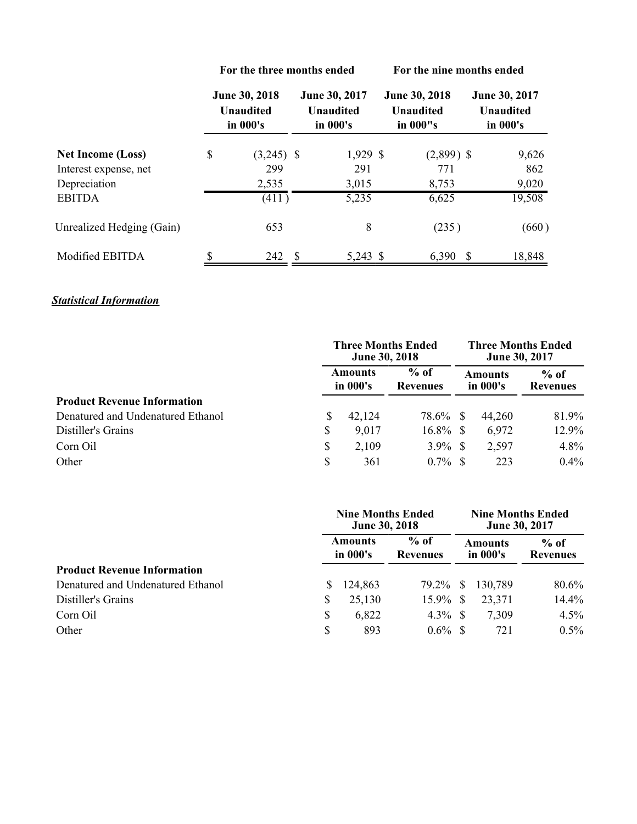|                           | For the three months ended                    |              |    |                                               | For the nine months ended |                                               |                                               |  |  |
|---------------------------|-----------------------------------------------|--------------|----|-----------------------------------------------|---------------------------|-----------------------------------------------|-----------------------------------------------|--|--|
|                           | June 30, 2018<br><b>Unaudited</b><br>in 000's |              |    | June 30, 2017<br><b>Unaudited</b><br>in 000's |                           | June 30, 2018<br><b>Unaudited</b><br>in 000"s | June 30, 2017<br><b>Unaudited</b><br>in 000's |  |  |
| <b>Net Income (Loss)</b>  | \$                                            | $(3,245)$ \$ |    | 1,929 \$                                      |                           | $(2,899)$ \$                                  | 9,626                                         |  |  |
| Interest expense, net     |                                               | 299          |    | 291                                           |                           | 771                                           | 862                                           |  |  |
| Depreciation              |                                               | 2,535        |    | 3,015                                         |                           | 8,753                                         | 9,020                                         |  |  |
| <b>EBITDA</b>             |                                               | (411)        |    | 5,235                                         |                           | 6,625                                         | 19,508                                        |  |  |
| Unrealized Hedging (Gain) |                                               | 653          |    | 8                                             |                           | (235)                                         | (660)                                         |  |  |
| Modified EBITDA           |                                               | 242          | -S | 5,243 \$                                      |                           | 6,390<br>-S                                   | 18,848                                        |  |  |

## *Statistical Information*

|                                    | <b>Three Months Ended</b><br>June 30, 2018 |        |                                                  | <b>Three Months Ended</b><br><b>June 30, 2017</b> |                    |         |
|------------------------------------|--------------------------------------------|--------|--------------------------------------------------|---------------------------------------------------|--------------------|---------|
|                                    | Amounts<br>in 000's                        |        | $%$ of<br>Amounts<br>in 000's<br><b>Revenues</b> |                                                   | $%$ of<br>Revenues |         |
| <b>Product Revenue Information</b> |                                            |        |                                                  |                                                   |                    |         |
| Denatured and Undenatured Ethanol  | S                                          | 42,124 | 78.6%                                            | -S                                                | 44,260             | 81.9%   |
| Distiller's Grains                 | \$                                         | 9,017  | $16.8\%$ \$                                      |                                                   | 6,972              | 12.9%   |
| Corn Oil                           | \$                                         | 2,109  | $3.9\%$ \$                                       |                                                   | 2,597              | 4.8%    |
| Other                              | \$                                         | 361    | $0.7\%$                                          |                                                   | 223                | $0.4\%$ |

|                                    |                            | <b>Nine Months Ended</b><br>June 30, 2018 |                           |    | <b>Nine Months Ended</b><br>June 30, 2017 |                    |  |
|------------------------------------|----------------------------|-------------------------------------------|---------------------------|----|-------------------------------------------|--------------------|--|
|                                    | <b>Amounts</b><br>in 000's |                                           | $%$ of<br><b>Revenues</b> |    | Amounts<br>in 000's                       | $%$ of<br>Revenues |  |
| <b>Product Revenue Information</b> |                            |                                           |                           |    |                                           |                    |  |
| Denatured and Undenatured Ethanol  |                            | 124,863                                   | 79.2%                     | -S | 130,789                                   | 80.6%              |  |
| Distiller's Grains                 | \$                         | 25,130                                    | 15.9%                     | -S | 23,371                                    | 14.4%              |  |
| Corn Oil                           | \$                         | 6,822                                     | $4.3\%$ \$                |    | 7,309                                     | 4.5%               |  |
| Other                              | \$                         | 893                                       | $0.6\%$                   |    | 721                                       | $0.5\%$            |  |